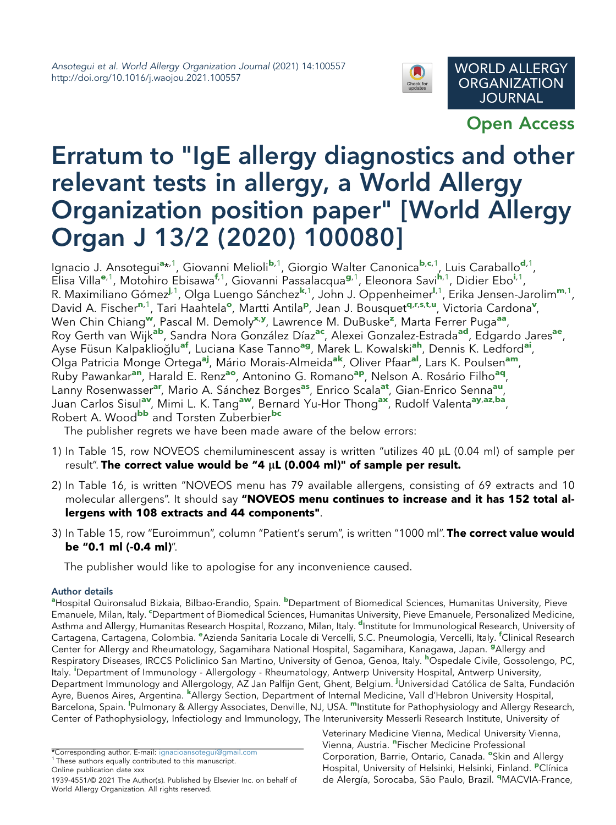

Open Access

## Erratum to "IgE allergy diagnostics and other relevant tests in allergy, a World Allergy Organization position paper" [World Allergy Organ J 13/2 (2020) 100080]

Ign[a](#page-0-0)cio J. Ansotegui<sup>a</sup>\*<sup>[,1](#page-0-1)</sup>, Giovanni Melioli<sup>[b](#page-0-0),[1](#page-0-1)</sup>, Giorgio Walter Canoni[c](#page-0-2)a<sup>b,c,1</sup>, Luis Caraballo<sup>[d](#page-0-3),1</sup>, Elisa Villa<sup>[e](#page-0-4),[1](#page-0-1)</sup>, Motohiro Ebisawa<sup>[f](#page-0-4),1</sup>, Giovanni Passalacqua<sup>[g](#page-0-5)[,1](#page-0-1)</sup>, Eleonora Savi<sup>[h](#page-0-6),1</sup>, D[i](#page-0-7)dier Ebo<sup>i,1</sup>, R. Maximiliano Gómez<sup>[j](#page-0-8), 1</sup>, Olga Luengo Sánchez<sup>[k](#page-0-9), 1</sup>, John J. Oppenheimer<sup>[l](#page-0-10), [1](#page-0-1)</sup>, Erika Jensen-Jaroli[m](#page-0-10)<sup>m, 1</sup>, David A. Fischer<sup>[n](#page-0-11),[1](#page-0-1)</sup>, Tari Haahtela<sup>[o](#page-0-12)</su[p](#page-0-13)>, Martti Antila<sup>p</sup>, Jean J. Bous[q](#page-0-14)uet<sup>q,[r](#page-1-0),[s](#page-1-0),[t](#page-1-1),[u](#page-1-1)</sup>, Victoria Cardona<sup>[v](#page-1-1)</sup>, Wen Chin Chiang<sup>[w](#page-1-2)</sup>, Pascal M. Demoly<sup>[x](#page-1-3),[y](#page-1-3)</sup>, Lawrence M. DuBuske<sup>[z](#page-1-4)</sup>, Marta Ferrer Puga<sup>[aa](#page-1-4)</sup>, Roy Gerth van Wijk<sup>[ab](#page-1-5)</sup>, Sandra Nora González Díaz<sup>[ac](#page-1-6)</sup>, Alexei Gonzalez-Estr[ad](#page-1-7)a<sup>ad</sup>, Edgardo Jares<sup>[ae](#page-1-7)</sup>, Ayse Füsun Kalpaklioğlu<sup>[af](#page-1-8)</sup>, Luciana Kase Tanno<sup>[ag](#page-1-8)</sup>, Marek L. Kowalski<sup>[ah](#page-1-9)</sup>, Dennis K. Ledford<sup>[ai](#page-1-10)</sup>, Olga Patricia Monge Ortega<sup>[aj](#page-1-10)</sup>, Mário Morais-Almeida<sup>[ak](#page-1-11)</sup>, Oliver Pfaar<sup>[al](#page-1-11)</sup>, Lars K. Poulsen<sup>[am](#page-1-12)</sup>, Ruby Paw[an](#page-1-13)kar<sup>an</sup>, Harald E. Renz<sup>[ao](#page-1-13)</sup>, Antonino G. Romano<sup>[ap](#page-1-14)</sup>, Nelson A. Rosário Filho<sup>[aq](#page-1-14)</sup>, Lanny Rosenwasser<sup>[ar](#page-1-15)</sup>, Mario A. Sánchez Borges<sup>[as](#page-1-15)</sup>, Enrico Scala<sup>[at](#page-1-16)</sup>, Gian-Enrico Senna<sup>[au](#page-1-17)</sup>, Juan Carlos Sisul<sup>[av](#page-1-17)</sup>, Mimi L. K. Tang<sup>[aw](#page-1-17)</sup>, Bernard Yu-Hor Thong<sup>[ax](#page-1-18)</sup>, Rudolf Valenta<sup>[ay](#page-1-19),[az](#page-1-20),[ba](#page-1-20)</sup>, Robert A. Wood<sup>[bb](#page-1-21)</sup> and Torsten Zuberbier<sup>[bc](#page-1-21)</sup>

The publisher regrets we have been made aware of the below errors:

- 1) In Table 15, row NOVEOS chemiluminescent assay is written "utilizes 40  $\mu$ L (0.04 ml) of sample per result". The correct value would be "4  $\mu$ L (0.004 ml)" of sample per result.
- 2) In Table 16, is written "NOVEOS menu has 79 available allergens, consisting of 69 extracts and 10 molecular allergens". It should say "NOVEOS menu continues to increase and it has 152 total allergens with 108 extracts and 44 components".
- 3) In Table 15, row "Euroimmun", column "Patient's serum", is written "1000 ml". The correct value would be "0.1 ml (-0.4 ml)".

The publisher would like to apologise for any inconvenience caused.

## Author details

<span id="page-0-7"></span><span id="page-0-6"></span><span id="page-0-5"></span><span id="page-0-4"></span><span id="page-0-3"></span><span id="page-0-2"></span><span id="page-0-0"></span><sup>a</sup>Hospital Quironsalud Bizkaia, Bilbao-Erandio, Spain. <sup>b</sup>Department of Biomedical Sciences, Humanitas University, Pieve Emanuele, Milan, Italy. <sup>c</sup>Department of Biomedical Sciences, Humanitas University, Pieve Emanuele, Personalized Medicine, Asthma and Allergy, Humanitas Research Hospital, Rozzano, Milan, Italy. <sup>d</sup>Institute for Immunological Research, University of Cartagena, Cartagena, Colombia. <sup>e</sup>Azienda Sanitaria Locale di Vercelli, S.C. Pneumologia, Vercelli, Italy. <sup>f</sup>Clinical Research Center for Allergy and Rheumatology, Sagamihara National Hospital, Sagamihara, Kanagawa, Japan. <sup>g</sup>Allergy and Respiratory Diseases, IRCCS Policlinico San Martino, University of Genoa, Genoa, Italy. <sup>h</sup>Ospedale Civile, Gossolengo, PC, Italy. <sup>I</sup>Department of Immunology - Allergology - Rheumatology, Antwerp University Hospital, Antwerp University, Department Immunology and Allergology, AZ Jan Palfijn Gent, Ghent, Belgium. <sup>j</sup>Universidad Católica de Salta, Fundación Ayre, Buenos Aires, Argentina. <sup>k</sup>Allergy Section, Department of Internal Medicine, Vall d'Hebron University Hospital, Barcelona, Spain. <sup>I</sup>Pulmonary & Allergy Associates, Denville, NJ, USA. <sup>m</sup>Institute for Pathophysiology and Allergy Research, Center of Pathophysiology, Infectiology and Immunology, The Interuniversity Messerli Research Institute, University of

<span id="page-0-14"></span><span id="page-0-13"></span><span id="page-0-12"></span><span id="page-0-11"></span>Veterinary Medicine Vienna, Medical University Vienna, Vienna, Austria. "Fischer Medicine Professional Corporation, Barrie, Ontario, Canada. <sup>o</sup>Skin and Allergy Hospital, University of Helsinki, Helsinki, Finland. <sup>P</sup>Clínica de Alergía, Sorocaba, São Paulo, Brazil. <sup>q</sup>MACVIA-France,

<span id="page-0-10"></span><span id="page-0-9"></span><span id="page-0-8"></span><span id="page-0-1"></span><sup>\*</sup>Corresponding author. E-mail: [ignacioansotegui@gmail.com](mailto:ignacioansotegui@gmail.com) <sup>1</sup> These authors equally contributed to this manuscript. Online publication date xxx

<sup>1939-4551/© 2021</sup> The Author(s). Published by Elsevier Inc. on behalf of World Allergy Organization. All rights reserved.